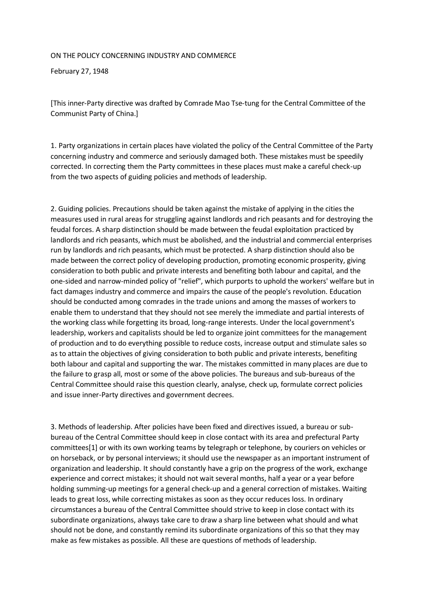## ON THE POLICY CONCERNING INDUSTRY AND COMMERCE

February 27, 1948

[This inner-Party directive was drafted by Comrade Mao Tse-tung for the Central Committee of the Communist Party of China.]

1. Party organizations in certain places have violated the policy of the Central Committee of the Party concerning industry and commerce and seriously damaged both. These mistakes must be speedily corrected. In correcting them the Party committees in these places must make a careful check-up from the two aspects of guiding policies and methods of leadership.

2. Guiding policies. Precautions should be taken against the mistake of applying in the cities the measures used in rural areas for struggling against landlords and rich peasants and for destroying the feudal forces. A sharp distinction should be made between the feudal exploitation practiced by landlords and rich peasants, which must be abolished, and the industrial and commercial enterprises run by landlords and rich peasants, which must be protected. A sharp distinction should also be made between the correct policy of developing production, promoting economic prosperity, giving consideration to both public and private interests and benefiting both labour and capital, and the one-sided and narrow-minded policy of "relief", which purports to uphold the workers' welfare but in fact damages industry and commerce and impairs the cause of the people's revolution. Education should be conducted among comrades in the trade unions and among the masses of workers to enable them to understand that they should not see merely the immediate and partial interests of the working class while forgetting its broad, long-range interests. Under the local government's leadership, workers and capitalists should be led to organize joint committees for the management of production and to do everything possible to reduce costs, increase output and stimulate sales so as to attain the objectives of giving consideration to both public and private interests, benefiting both labour and capital and supporting the war. The mistakes committed in many places are due to the failure to grasp all, most or some of the above policies. The bureaus and sub-bureaus of the Central Committee should raise this question clearly, analyse, check up, formulate correct policies and issue inner-Party directives and government decrees.

3. Methods of leadership. After policies have been fixed and directives issued, a bureau or subbureau of the Central Committee should keep in close contact with its area and prefectural Party committees[1] or with its own working teams by telegraph or telephone, by couriers on vehicles or on horseback, or by personal interviews; it should use the newspaper as an important instrument of organization and leadership. It should constantly have a grip on the progress of the work, exchange experience and correct mistakes; it should not wait several months, half a year or a year before holding summing-up meetings for a general check-up and a general correction of mistakes. Waiting leads to great loss, while correcting mistakes as soon as they occur reduces loss. In ordinary circumstances a bureau of the Central Committee should strive to keep in close contact with its subordinate organizations, always take care to draw a sharp line between what should and what should not be done, and constantly remind its subordinate organizations of this so that they may make as few mistakes as possible. All these are questions of methods of leadership.